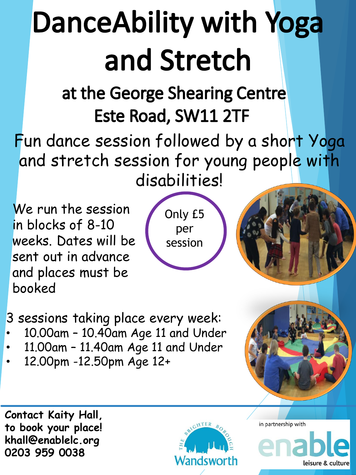## **DanceAbility with Yoga** and Stretch

## at the George Shearing Centre Este Road, SW11 2TF

Fun dance session followed by a short Yoga and stretch session for young people with disabilities!

We run the session in blocks of 8-10 weeks. Dates will be sent out in advance and places must be booked

Only £5 per session

3 sessions taking place every week:

- 10.00am 10.40am Age 11 and Under
- 11.00am 11.40am Age 11 and Under
- 12.00pm -12.50pm Age 12+

**Contact Kaity Hall, to book your place! khall@enablelc.org 0203 959 0038** 



in partnership with

leisure & culture